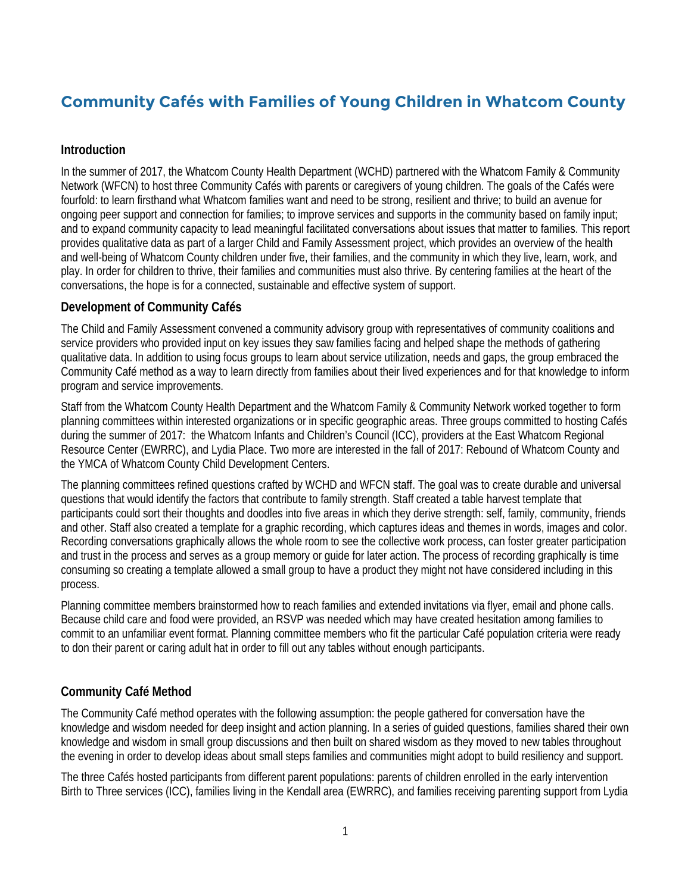# **Community Cafés with Families of Young Children in Whatcom County**

### **Introduction**

In the summer of 2017, the Whatcom County Health Department (WCHD) partnered with the Whatcom Family & Community Network (WFCN) to host three Community Cafés with parents or caregivers of young children. The goals of the Cafés were fourfold: to learn firsthand what Whatcom families want and need to be strong, resilient and thrive; to build an avenue for ongoing peer support and connection for families; to improve services and supports in the community based on family input; and to expand community capacity to lead meaningful facilitated conversations about issues that matter to families. This report provides qualitative data as part of a larger Child and Family Assessment project, which provides an overview of the health and well-being of Whatcom County children under five, their families, and the community in which they live, learn, work, and play. In order for children to thrive, their families and communities must also thrive. By centering families at the heart of the conversations, the hope is for a connected, sustainable and effective system of support.

#### **Development of Community Cafés**

The Child and Family Assessment convened a community advisory group with representatives of community coalitions and service providers who provided input on key issues they saw families facing and helped shape the methods of gathering qualitative data. In addition to using focus groups to learn about service utilization, needs and gaps, the group embraced the Community Café method as a way to learn directly from families about their lived experiences and for that knowledge to inform program and service improvements.

Staff from the Whatcom County Health Department and the Whatcom Family & Community Network worked together to form planning committees within interested organizations or in specific geographic areas. Three groups committed to hosting Cafés during the summer of 2017: the Whatcom Infants and Children's Council (ICC), providers at the East Whatcom Regional Resource Center (EWRRC), and Lydia Place. Two more are interested in the fall of 2017: Rebound of Whatcom County and the YMCA of Whatcom County Child Development Centers.

The planning committees refined questions crafted by WCHD and WFCN staff. The goal was to create durable and universal questions that would identify the factors that contribute to family strength. Staff created a table harvest template that participants could sort their thoughts and doodles into five areas in which they derive strength: self, family, community, friends and other. Staff also created a template for a graphic recording, which captures ideas and themes in words, images and color. Recording conversations graphically allows the whole room to see the collective work process, can foster greater participation and trust in the process and serves as a group memory or guide for later action. The process of recording graphically is time consuming so creating a template allowed a small group to have a product they might not have considered including in this process.

Planning committee members brainstormed how to reach families and extended invitations via flyer, email and phone calls. Because child care and food were provided, an RSVP was needed which may have created hesitation among families to commit to an unfamiliar event format. Planning committee members who fit the particular Café population criteria were ready to don their parent or caring adult hat in order to fill out any tables without enough participants.

## **Community Café Method**

The Community Café method operates with the following assumption: the people gathered for conversation have the knowledge and wisdom needed for deep insight and action planning. In a series of guided questions, families shared their own knowledge and wisdom in small group discussions and then built on shared wisdom as they moved to new tables throughout the evening in order to develop ideas about small steps families and communities might adopt to build resiliency and support.

The three Cafés hosted participants from different parent populations: parents of children enrolled in the early intervention Birth to Three services (ICC), families living in the Kendall area (EWRRC), and families receiving parenting support from Lydia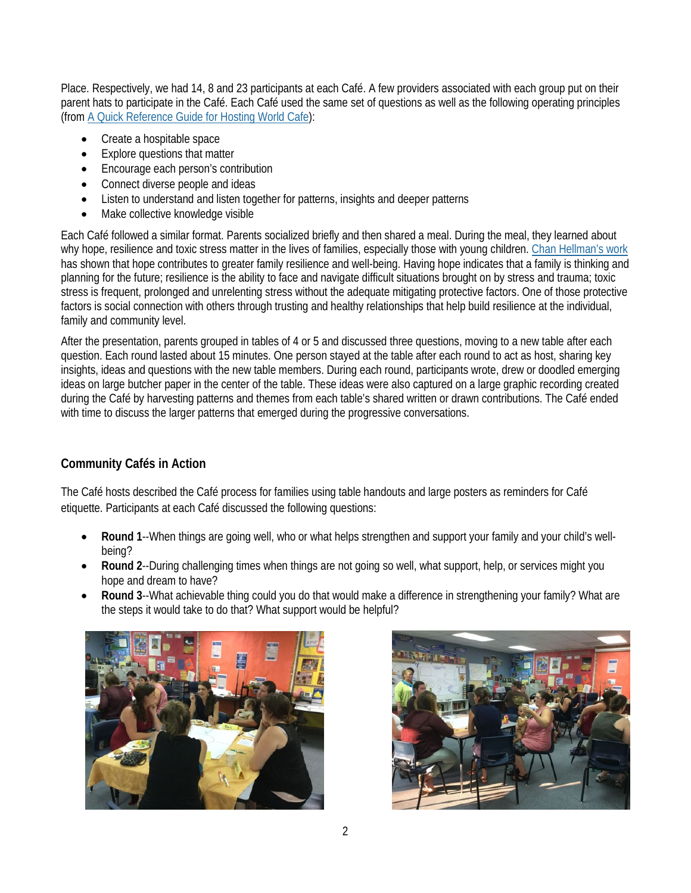Place. Respectively, we had 14, 8 and 23 participants at each Café. A few providers associated with each group put on their parent hats to participate in the Café. Each Café used the same set of questions as well as the following operating principles (fro[m A Quick Reference Guide for Hosting World Cafe\)](http://www.theworldcafe.com/wp-content/uploads/2015/07/Cafe-To-Go-Revised.pdf):

- Create a hospitable space
- **Explore questions that matter**
- Encourage each person's contribution
- Connect diverse people and ideas
- Listen to understand and listen together for patterns, insights and deeper patterns
- Make collective knowledge visible

Each Café followed a similar format. Parents socialized briefly and then shared a meal. During the meal, they learned about why hope, resilience and toxic stress matter in the lives of families, especially those with young children. [Chan Hellman's work](http://chanmhellman.com/) has shown that hope contributes to greater family resilience and well-being. Having hope indicates that a family is thinking and planning for the future; resilience is the ability to face and navigate difficult situations brought on by stress and trauma; toxic stress is frequent, prolonged and unrelenting stress without the adequate mitigating protective factors. One of those protective factors is social connection with others through trusting and healthy relationships that help build resilience at the individual, family and community level.

After the presentation, parents grouped in tables of 4 or 5 and discussed three questions, moving to a new table after each question. Each round lasted about 15 minutes. One person stayed at the table after each round to act as host, sharing key insights, ideas and questions with the new table members. During each round, participants wrote, drew or doodled emerging ideas on large butcher paper in the center of the table. These ideas were also captured on a large graphic recording created during the Café by harvesting patterns and themes from each table's shared written or drawn contributions. The Café ended with time to discuss the larger patterns that emerged during the progressive conversations.

## **Community Cafés in Action**

The Café hosts described the Café process for families using table handouts and large posters as reminders for Café etiquette. Participants at each Café discussed the following questions:

- **Round 1**--When things are going well, who or what helps strengthen and support your family and your child's wellbeing?
- **Round 2**--During challenging times when things are not going so well, what support, help, or services might you hope and dream to have?
- **Round 3**--What achievable thing could you do that would make a difference in strengthening your family? What are the steps it would take to do that? What support would be helpful?



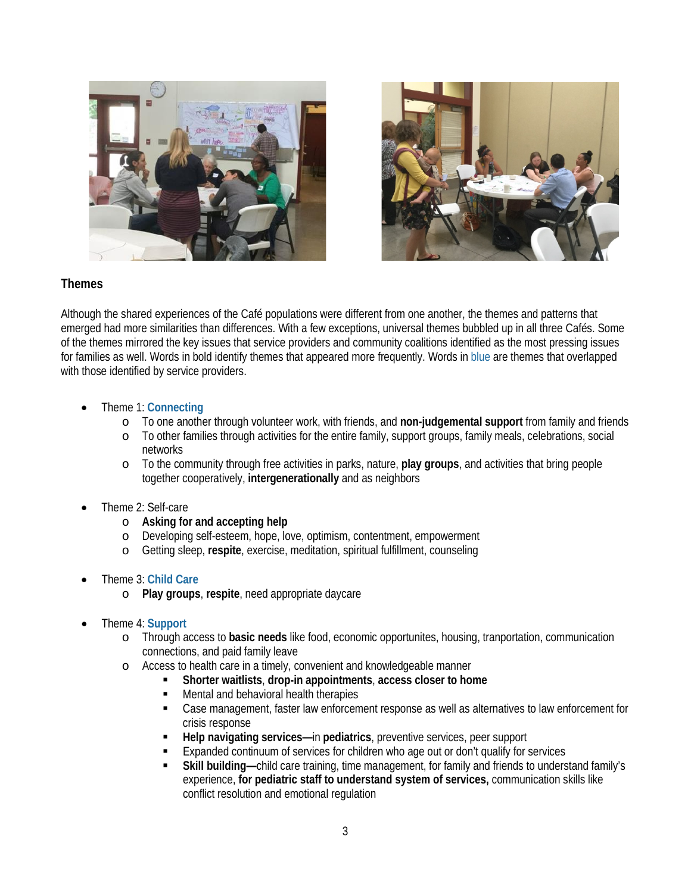



## **Themes**

Although the shared experiences of the Café populations were different from one another, the themes and patterns that emerged had more similarities than differences. With a few exceptions, universal themes bubbled up in all three Cafés. Some of the themes mirrored the key issues that service providers and community coalitions identified as the most pressing issues for families as well. Words in bold identify themes that appeared more frequently. Words in blue are themes that overlapped with those identified by service providers.

- Theme 1: **Connecting**
	- o To one another through volunteer work, with friends, and **non-judgemental support** from family and friends
	- To other families through activities for the entire family, support groups, family meals, celebrations, social networks
	- o To the community through free activities in parks, nature, **play groups**, and activities that bring people together cooperatively, **intergenerationally** and as neighbors
- Theme 2: Self-care
	- o **Asking for and accepting help**
	- o Developing self-esteem, hope, love, optimism, contentment, empowerment<br>
	o Getting sleep, respite, exercise, meditation, spiritual fulfillment, counseling
	- Getting sleep, **respite**, exercise, meditation, spiritual fulfillment, counseling

#### • Theme 3: **Child Care**

- o **Play groups**, **respite**, need appropriate daycare
- Theme 4: **Support**
	- o Through access to **basic needs** like food, economic opportunites, housing, tranportation, communication connections, and paid family leave
	- o Access to health care in a timely, convenient and knowledgeable manner
		- **Shorter waitlists**, **drop-in appointments**, **access closer to home**
			- Mental and behavioral health therapies
		- Case management, faster law enforcement response as well as alternatives to law enforcement for crisis response
		- **Help navigating services—**in **pediatrics**, preventive services, peer support
		- Expanded continuum of services for children who age out or don't qualify for services
		- **Skill building—**child care training, time management, for family and friends to understand family's experience, **for pediatric staff to understand system of services,** communication skills like conflict resolution and emotional regulation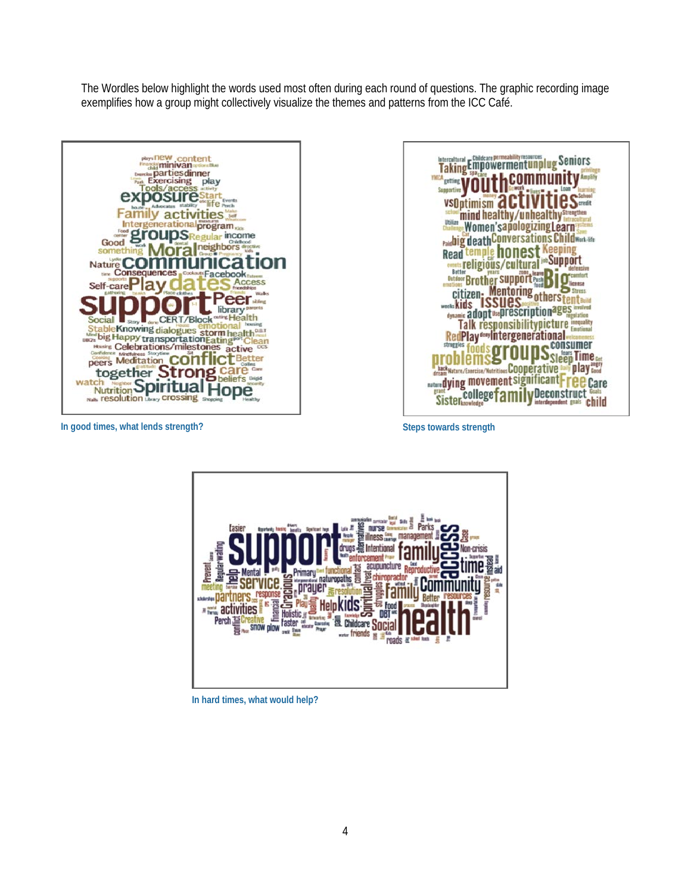The Wordles below highlight the words used most often during each round of questions. The graphic recording image exemplifies how a group might collectively visualize the themes and patterns from the ICC Café.





**In good times, what lends strength?**

**Steps towards strength**



 **In hard times, what would help?**